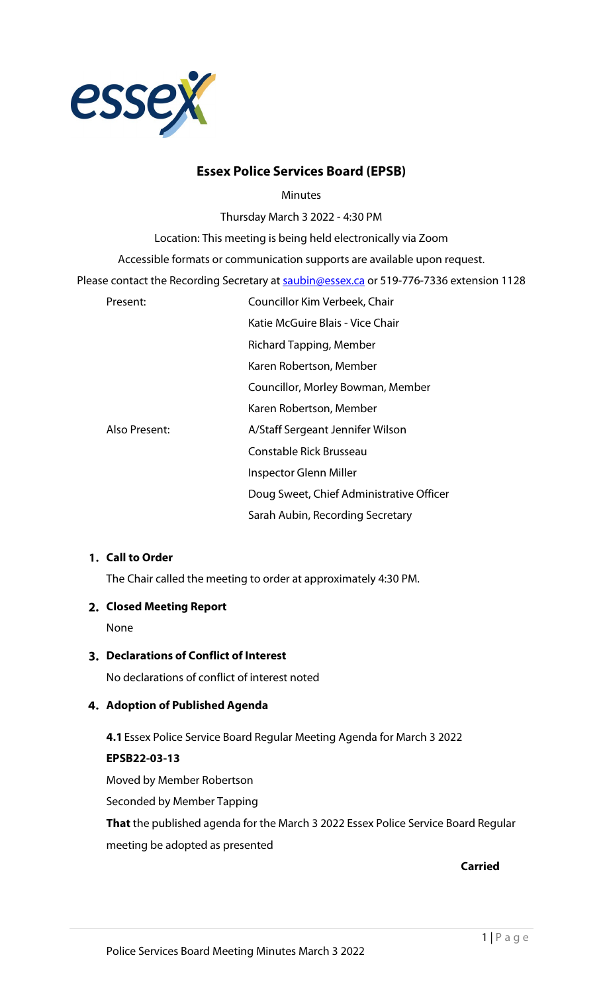

# **Essex Police Services Board (EPSB)**

Minutes

Thursday March 3 2022 - 4:30 PM

Location: This meeting is being held electronically via Zoom

Accessible formats or communication supports are available upon request.

Please contact the Recording Secretary at [saubin@essex.ca](mailto:saubin@essex.ca) or 519-776-7336 extension 1128

| Present:      | Councillor Kim Verbeek, Chair            |
|---------------|------------------------------------------|
|               | Katie McGuire Blais - Vice Chair         |
|               | Richard Tapping, Member                  |
|               | Karen Robertson, Member                  |
|               | Councillor, Morley Bowman, Member        |
|               | Karen Robertson, Member                  |
| Also Present: | A/Staff Sergeant Jennifer Wilson         |
|               | Constable Rick Brusseau                  |
|               | Inspector Glenn Miller                   |
|               | Doug Sweet, Chief Administrative Officer |
|               | Sarah Aubin, Recording Secretary         |

## **Call to Order**

The Chair called the meeting to order at approximately 4:30 PM.

## **Closed Meeting Report**

None

## **Declarations of Conflict of Interest**

No declarations of conflict of interest noted

## **Adoption of Published Agenda**

**4.1**Essex Police Service Board Regular Meeting Agenda for March 3 2022 **EPSB22-03-13** Moved by Member Robertson Seconded by Member Tapping **That** the published agenda for the March 3 2022 Essex Police Service Board Regular meeting be adopted as presented

**Carried**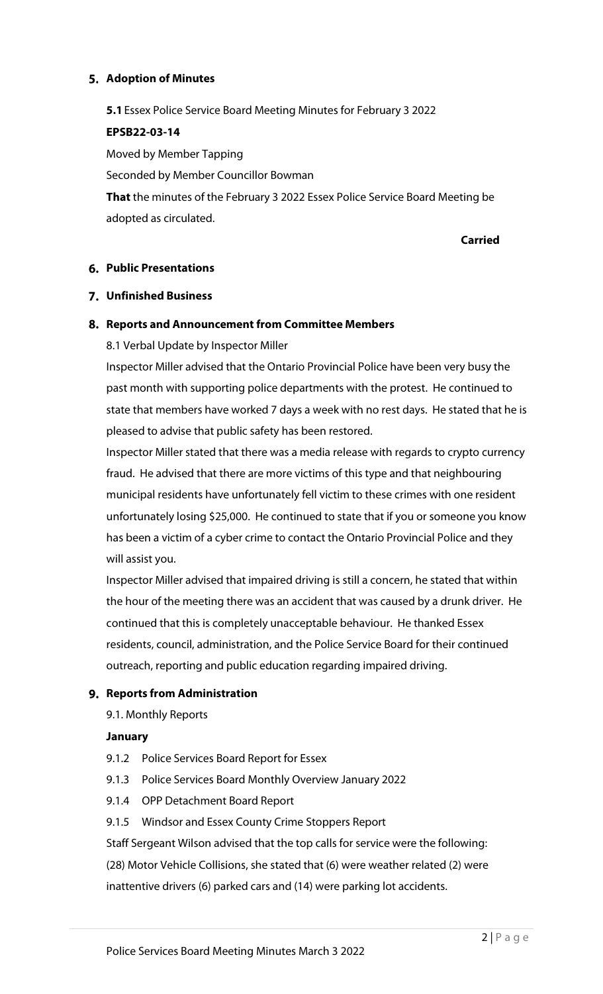# **Adoption of Minutes**

**5.1**Essex Police Service Board Meeting Minutes for February 3 2022

### **EPSB22-03-14**

Moved by Member Tapping

Seconded by Member Councillor Bowman

**That** the minutes of the February 3 2022 Essex Police Service Board Meeting be adopted as circulated.

**Carried**

## **Public Presentations**

## **Unfinished Business**

## **Reports and Announcement from Committee Members**

8.1 Verbal Update by Inspector Miller

Inspector Miller advised that the Ontario Provincial Police have been very busy the past month with supporting police departments with the protest. He continued to state that members have worked 7 days a week with no rest days. He stated that he is pleased to advise that public safety has been restored.

Inspector Miller stated that there was a media release with regards to crypto currency fraud. He advised that there are more victims of this type and that neighbouring municipal residents have unfortunately fell victim to these crimes with one resident unfortunately losing \$25,000. He continued to state that if you or someone you know has been a victim of a cyber crime to contact the Ontario Provincial Police and they will assist you.

Inspector Miller advised that impaired driving is still a concern, he stated that within the hour of the meeting there was an accident that was caused by a drunk driver. He continued that this is completely unacceptable behaviour. He thanked Essex residents, council, administration, and the Police Service Board for their continued outreach, reporting and public education regarding impaired driving.

## **9. Reports from Administration**

9.1. Monthly Reports

# **January**

- 9.1.2 Police Services Board Report for Essex
- 9.1.3 Police Services Board Monthly Overview January 2022
- 9.1.4 OPP Detachment Board Report
- 9.1.5 Windsor and Essex County Crime Stoppers Report

Staff Sergeant Wilson advised that the top calls for service were the following: (28) Motor Vehicle Collisions, she stated that (6) were weather related (2) were inattentive drivers (6) parked cars and (14) were parking lot accidents.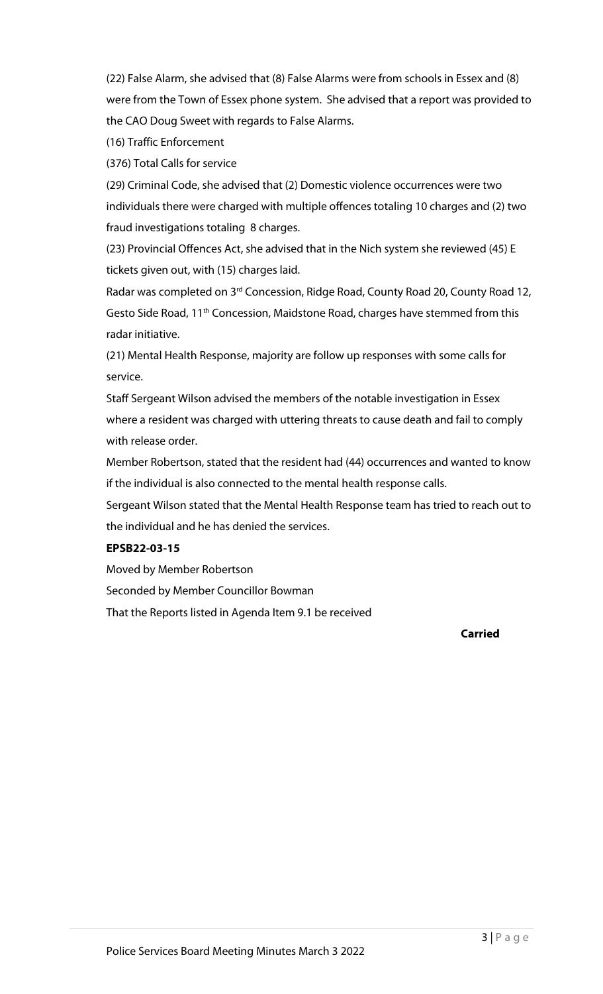(22) False Alarm, she advised that (8) False Alarms were from schools in Essex and (8) were from the Town of Essex phone system. She advised that a report was provided to the CAO Doug Sweet with regards to False Alarms.

(16) Traffic Enforcement

(376) Total Calls for service

(29) Criminal Code, she advised that (2) Domestic violence occurrences were two individuals there were charged with multiple offences totaling 10 charges and (2) two fraud investigations totaling 8 charges.

(23) Provincial Offences Act, she advised that in the Nich system she reviewed (45) E tickets given out, with (15) charges laid.

Radar was completed on 3<sup>rd</sup> Concession, Ridge Road, County Road 20, County Road 12, Gesto Side Road, 11<sup>th</sup> Concession, Maidstone Road, charges have stemmed from this radar initiative.

(21) Mental Health Response, majority are follow up responses with some calls for service.

Staff Sergeant Wilson advised the members of the notable investigation in Essex where a resident was charged with uttering threats to cause death and fail to comply with release order.

Member Robertson, stated that the resident had (44) occurrences and wanted to know if the individual is also connected to the mental health response calls.

Sergeant Wilson stated that the Mental Health Response team has tried to reach out to the individual and he has denied the services.

# **EPSB22-03-15**

Moved by Member Robertson Seconded by Member Councillor Bowman That the Reports listed in Agenda Item 9.1 be received

**Carried**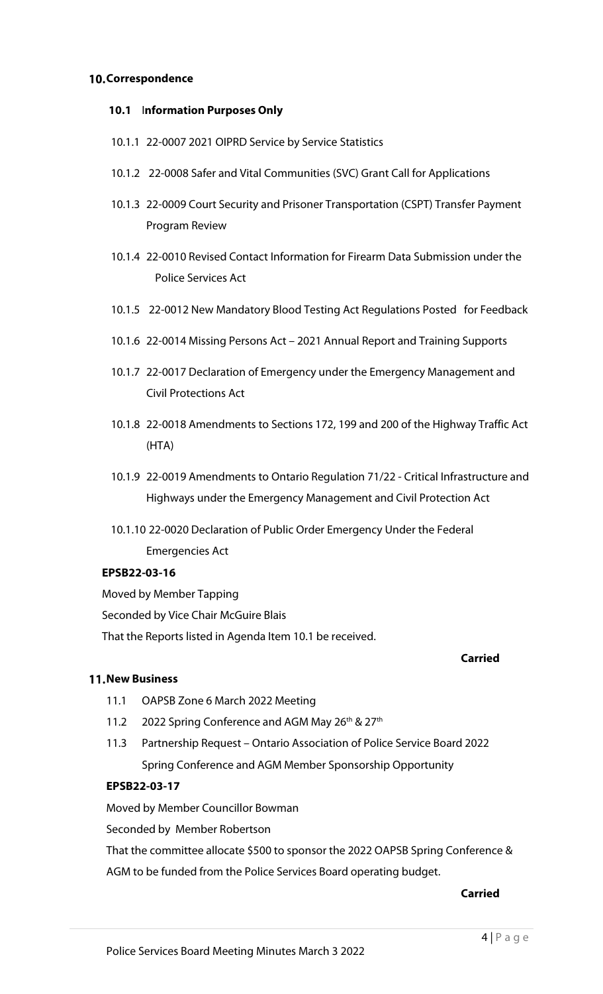#### **10. Correspondence**

#### **10.1** I**nformation Purposes Only**

- 10.1.1 22-0007 2021 OIPRD Service by Service Statistics
- 10.1.2 22-0008 Safer and Vital Communities (SVC) Grant Call for Applications
- 10.1.3 22-0009 Court Security and Prisoner Transportation (CSPT) Transfer Payment Program Review
- 10.1.4 22-0010 Revised Contact Information for Firearm Data Submission under the Police Services Act
- 10.1.5 22-0012 New Mandatory Blood Testing Act Regulations Posted for Feedback
- 10.1.6 22-0014 Missing Persons Act 2021 Annual Report and Training Supports
- 10.1.7 22-0017 Declaration of Emergency under the Emergency Management and Civil Protections Act
- 10.1.8 22-0018 Amendments to Sections 172, 199 and 200 of the Highway Traffic Act (HTA)
- 10.1.9 22-0019 Amendments to Ontario Regulation 71/22 Critical Infrastructure and Highways under the Emergency Management and Civil Protection Act
- 10.1.10 22-0020 Declaration of Public Order Emergency Under the Federal Emergencies Act

#### **EPSB22-03-16**

Moved by Member Tapping Seconded by Vice Chair McGuire Blais That the Reports listed in Agenda Item 10.1 be received.

## **New Business**

- 11.1 OAPSB Zone 6 March 2022 Meeting
- 11.2 2022 Spring Conference and AGM May 26th & 27th
- 11.3 Partnership Request Ontario Association of Police Service Board 2022 Spring Conference and AGM Member Sponsorship Opportunity

## **EPSB22-03-17**

Moved by Member Councillor Bowman

Seconded by Member Robertson

That the committee allocate \$500 to sponsor the 2022 OAPSB Spring Conference & AGM to be funded from the Police Services Board operating budget.

## **Carried**

**Carried**